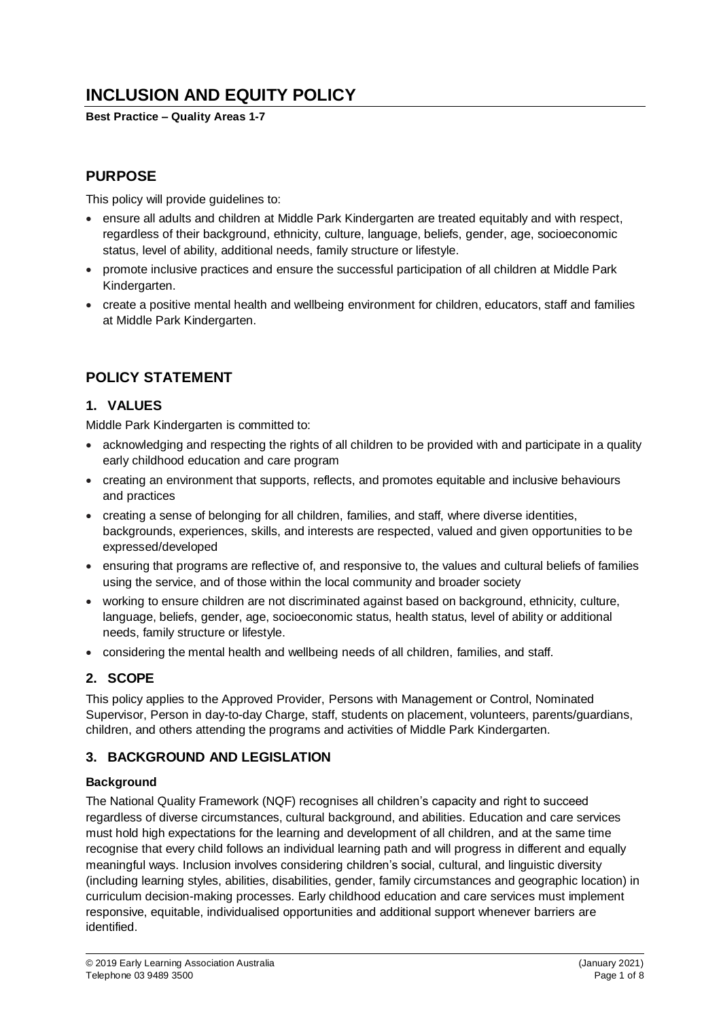# **INCLUSION AND EQUITY POLICY**

**Best Practice – Quality Areas 1-7**

# **PURPOSE**

This policy will provide guidelines to:

- ensure all adults and children at Middle Park Kindergarten are treated equitably and with respect, regardless of their background, ethnicity, culture, language, beliefs, gender, age, socioeconomic status, level of ability, additional needs, family structure or lifestyle.
- promote inclusive practices and ensure the successful participation of all children at Middle Park Kindergarten.
- create a positive mental health and wellbeing environment for children, educators, staff and families at Middle Park Kindergarten.

# **POLICY STATEMENT**

# **1. VALUES**

Middle Park Kindergarten is committed to:

- acknowledging and respecting the rights of all children to be provided with and participate in a quality early childhood education and care program
- creating an environment that supports, reflects, and promotes equitable and inclusive behaviours and practices
- creating a sense of belonging for all children, families, and staff, where diverse identities, backgrounds, experiences, skills, and interests are respected, valued and given opportunities to be expressed/developed
- ensuring that programs are reflective of, and responsive to, the values and cultural beliefs of families using the service, and of those within the local community and broader society
- working to ensure children are not discriminated against based on background, ethnicity, culture, language, beliefs, gender, age, socioeconomic status, health status, level of ability or additional needs, family structure or lifestyle.
- considering the mental health and wellbeing needs of all children, families, and staff.

#### **2. SCOPE**

This policy applies to the Approved Provider, Persons with Management or Control, Nominated Supervisor, Person in day-to-day Charge, staff, students on placement, volunteers, parents/guardians, children, and others attending the programs and activities of Middle Park Kindergarten.

# **3. BACKGROUND AND LEGISLATION**

#### **Background**

The National Quality Framework (NQF) recognises all children's capacity and right to succeed regardless of diverse circumstances, cultural background, and abilities. Education and care services must hold high expectations for the learning and development of all children, and at the same time recognise that every child follows an individual learning path and will progress in different and equally meaningful ways. Inclusion involves considering children's social, cultural, and linguistic diversity (including learning styles, abilities, disabilities, gender, family circumstances and geographic location) in curriculum decision-making processes. Early childhood education and care services must implement responsive, equitable, individualised opportunities and additional support whenever barriers are identified.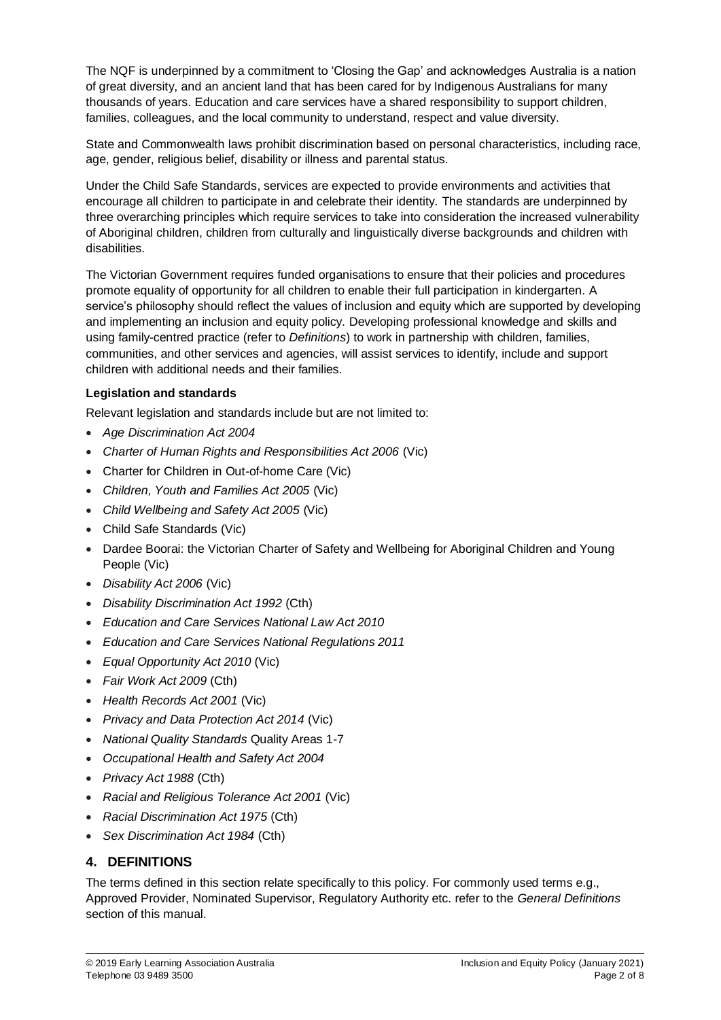The NQF is underpinned by a commitment to 'Closing the Gap' and acknowledges Australia is a nation of great diversity, and an ancient land that has been cared for by Indigenous Australians for many thousands of years. Education and care services have a shared responsibility to support children, families, colleagues, and the local community to understand, respect and value diversity.

State and Commonwealth laws prohibit discrimination based on personal characteristics, including race, age, gender, religious belief, disability or illness and parental status.

Under the Child Safe Standards, services are expected to provide environments and activities that encourage all children to participate in and celebrate their identity. The standards are underpinned by three overarching principles which require services to take into consideration the increased vulnerability of Aboriginal children, children from culturally and linguistically diverse backgrounds and children with disabilities.

The Victorian Government requires funded organisations to ensure that their policies and procedures promote equality of opportunity for all children to enable their full participation in kindergarten. A service's philosophy should reflect the values of inclusion and equity which are supported by developing and implementing an inclusion and equity policy. Developing professional knowledge and skills and using family-centred practice (refer to *Definitions*) to work in partnership with children, families, communities, and other services and agencies, will assist services to identify, include and support children with additional needs and their families.

#### **Legislation and standards**

Relevant legislation and standards include but are not limited to:

- *Age Discrimination Act 2004*
- *[Charter of Human Rights and Responsibilities Act 2006](http://www.legislation.vic.gov.au/Domino/Web_Notes/LDMS/PubStatbook.nsf/f932b66241ecf1b7ca256e92000e23be/54d73763ef9dca36ca2571b6002428b0!OpenDocument)* (Vic)
- Charter for Children in Out-of-home Care (Vic)
- *Children, Youth and Families Act 2005* (Vic)
- *Child Wellbeing and Safety Act 2005* (Vic)
- Child Safe Standards (Vic)
- Dardee Boorai: the Victorian Charter of Safety and Wellbeing for Aboriginal Children and Young People (Vic)
- *Disability Act 2006* (Vic)
- *Disability Discrimination Act 1992* (Cth)
- *Education and Care Services National Law Act 2010*
- *Education and Care Services National Regulations 2011*
- *Equal Opportunity Act 2010* (Vic)
- *Fair Work Act 2009* (Cth)
- *Health Records Act 2001* (Vic)
- *Privacy and Data Protection Act 2014* (Vic)
- *National Quality Standards* Quality Areas 1-7
- *Occupational Health and Safety Act 2004*
- *Privacy Act 1988* (Cth)
- *Racial and Religious Tolerance Act 2001* (Vic)
- *Racial Discrimination Act 1975* (Cth)
- *Sex Discrimination Act 1984* (Cth)

#### **4. DEFINITIONS**

The terms defined in this section relate specifically to this policy. For commonly used terms e.g., Approved Provider, Nominated Supervisor, Regulatory Authority etc. refer to the *General Definitions* section of this manual.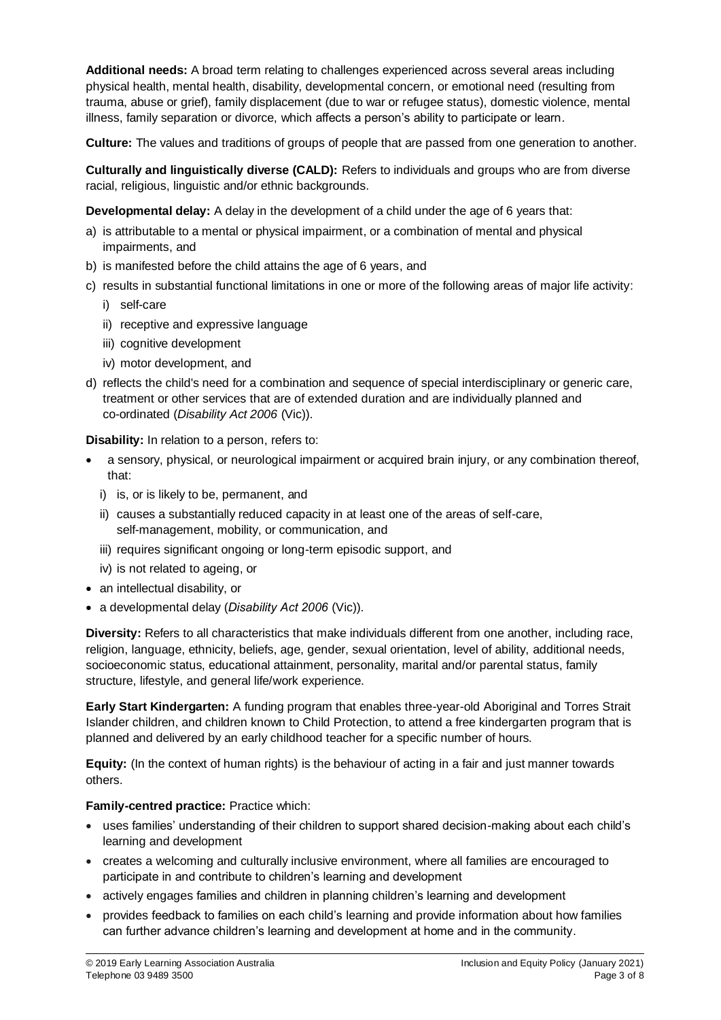**Additional needs:** A broad term relating to challenges experienced across several areas including physical health, mental health, disability, developmental concern, or emotional need (resulting from trauma, abuse or grief), family displacement (due to war or refugee status), domestic violence, mental illness, family separation or divorce, which affects a person's ability to participate or learn.

**Culture:** The values and traditions of groups of people that are passed from one generation to another.

**Culturally and linguistically diverse (CALD):** Refers to individuals and groups who are from diverse racial, religious, linguistic and/or ethnic backgrounds.

**Developmental delay:** A delay in the development of a child under the age of 6 years that:

- a) is attributable to a mental or physical impairment, or a combination of mental and physical impairments, and
- b) is manifested before the child attains the age of 6 years, and
- c) results in substantial functional limitations in one or more of the following areas of major life activity:
	- i) self-care
	- ii) receptive and expressive language
	- iii) cognitive development
	- iv) motor development, and
- d) reflects the child's need for a combination and sequence of special interdisciplinary or generic care, treatment or other services that are of extended duration and are individually planned and co-ordinated (*Disability Act 2006* (Vic)).

**Disability:** In relation to a person, refers to:

- a sensory, physical, or neurological impairment or acquired brain injury, or any combination thereof, that:
	- i) is, or is likely to be, permanent, and
	- ii) causes a substantially reduced capacity in at least one of the areas of self-care, self-management, mobility, or communication, and
	- iii) requires significant ongoing or long-term episodic support, and
	- iv) is not related to ageing, or
- an intellectual disability, or
- a developmental delay (*Disability Act 2006* (Vic)).

**Diversity:** Refers to all characteristics that make individuals different from one another, including race, religion, language, ethnicity, beliefs, age, gender, sexual orientation, level of ability, additional needs, socioeconomic status, educational attainment, personality, marital and/or parental status, family structure, lifestyle, and general life/work experience.

**Early Start Kindergarten:** A funding program that enables three-year-old Aboriginal and Torres Strait Islander children, and children known to Child Protection, to attend a free kindergarten program that is planned and delivered by an early childhood teacher for a specific number of hours.

**Equity:** (In the context of human rights) is the behaviour of acting in a fair and just manner towards others.

#### **Family-centred practice:** Practice which:

- uses families' understanding of their children to support shared decision-making about each child's learning and development
- creates a welcoming and culturally inclusive environment, where all families are encouraged to participate in and contribute to children's learning and development
- actively engages families and children in planning children's learning and development
- provides feedback to families on each child's learning and provide information about how families can further advance children's learning and development at home and in the community.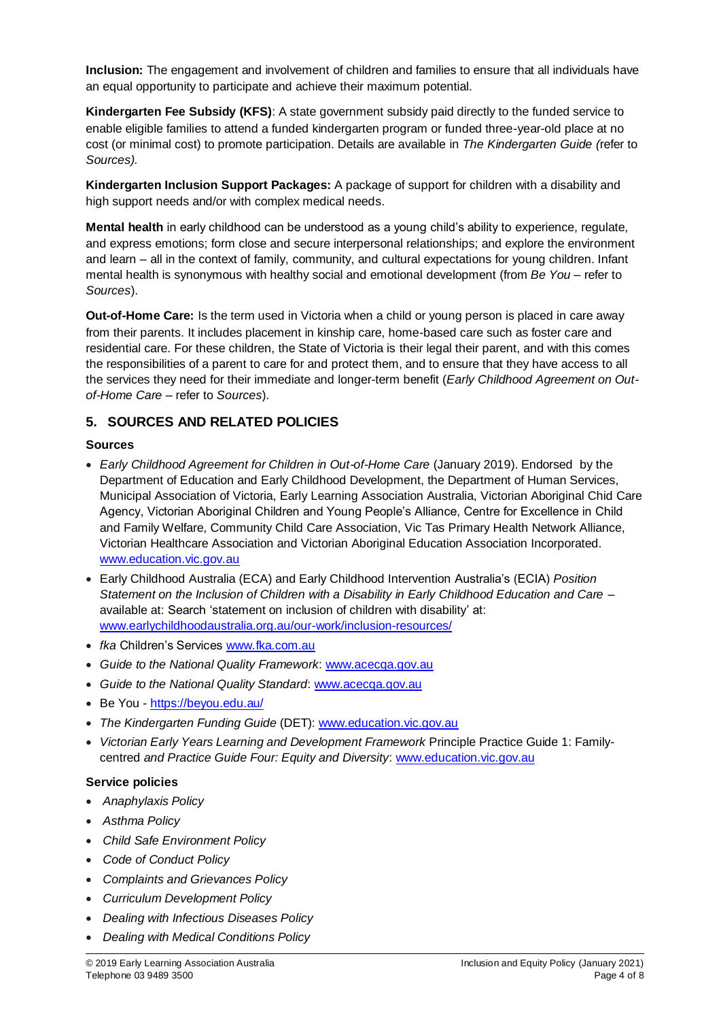**Inclusion:** The engagement and involvement of children and families to ensure that all individuals have an equal opportunity to participate and achieve their maximum potential.

**Kindergarten Fee Subsidy (KFS)**: A state government subsidy paid directly to the funded service to enable eligible families to attend a funded kindergarten program or funded three-year-old place at no cost (or minimal cost) to promote participation. Details are available in *The Kindergarten Guide (*refer to *Sources).*

**Kindergarten Inclusion Support Packages:** A package of support for children with a disability and high support needs and/or with complex medical needs.

**Mental health** in early childhood can be understood as a young child's ability to experience, regulate, and express emotions; form close and secure interpersonal relationships; and explore the environment and learn – all in the context of family, community, and cultural expectations for young children. Infant mental health is synonymous with healthy social and emotional development (from *Be You –* refer to *Sources*).

**Out-of-Home Care:** Is the term used in Victoria when a child or young person is placed in care away from their parents. It includes placement in kinship care, home-based care such as foster care and residential care. For these children, the State of Victoria is their legal their parent, and with this comes the responsibilities of a parent to care for and protect them, and to ensure that they have access to all the services they need for their immediate and longer-term benefit (*Early Childhood Agreement on Outof-Home Care* – refer to *Sources*).

# **5. SOURCES AND RELATED POLICIES**

#### **Sources**

- *Early Childhood Agreement for Children in Out-of-Home Care* (January 2019). Endorsed by the Department of Education and Early Childhood Development, the Department of Human Services, Municipal Association of Victoria, Early Learning Association Australia, Victorian Aboriginal Chid Care Agency, Victorian Aboriginal Children and Young People's Alliance, Centre for Excellence in Child and Family Welfare, Community Child Care Association, Vic Tas Primary Health Network Alliance, Victorian Healthcare Association and Victorian Aboriginal Education Association Incorporated. [www.education.vic.gov.au](http://www.education.vic.gov.au/)
- Early Childhood Australia (ECA) and Early Childhood Intervention Australia's (ECIA) *Position Statement on the Inclusion of Children with a Disability in Early Childhood Education and Care –* available at: Search 'statement on inclusion of children with disability' at: [www.earlychildhoodaustralia.org.au/our-work/inclusion-resources/](http://www.earlychildhoodaustralia.org.au/our-work/inclusion-resources/)
- *fka* Children's Services [www.fka.com.au](http://www.fka.com.au/)
- *Guide to the National Quality Framework*[: www.acecqa.gov.au](https://www.acecqa.gov.au/)
- *Guide to the National Quality Standard*: [www.acecqa.gov.au](https://www.acecqa.gov.au/)
- Be You <https://beyou.edu.au/>
- *The Kindergarten Funding Guide* (DET): [www.education.vic.gov.au](http://www.education.vic.gov.au/Pages/default.aspx)
- *Victorian Early Years Learning and Development Framework* Principle Practice Guide 1: Familycentred *and Practice Guide Four: Equity and Diversity*: [www.education.vic.gov.au](http://www.education.vic.gov.au/Pages/default.aspx)

#### **Service policies**

- *Anaphylaxis Policy*
- *Asthma Policy*
- *Child Safe Environment Policy*
- *Code of Conduct Policy*
- *Complaints and Grievances Policy*
- *Curriculum Development Policy*
- *Dealing with Infectious Diseases Policy*
- *Dealing with Medical Conditions Policy*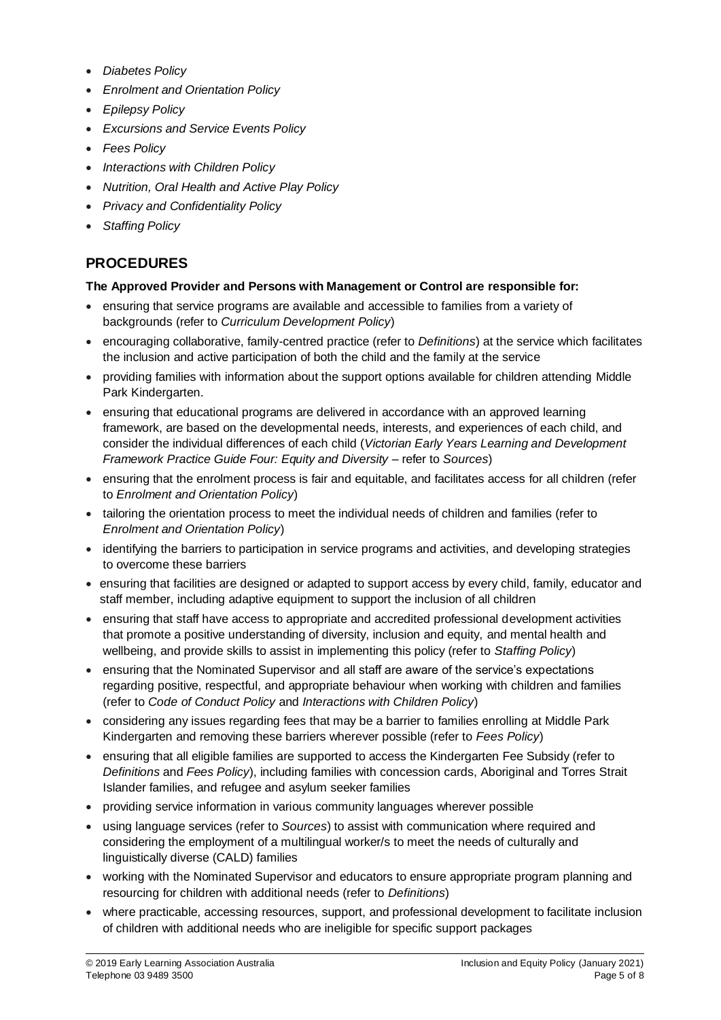- *Diabetes Policy*
- *Enrolment and Orientation Policy*
- *Epilepsy Policy*
- *Excursions and Service Events Policy*
- *Fees Policy*
- *Interactions with Children Policy*
- *Nutrition, Oral Health and Active Play Policy*
- *Privacy and Confidentiality Policy*
- *Staffing Policy*

# **PROCEDURES**

#### **The Approved Provider and Persons with Management or Control are responsible for:**

- ensuring that service programs are available and accessible to families from a variety of backgrounds (refer to *Curriculum Development Policy*)
- encouraging collaborative, family-centred practice (refer to *Definitions*) at the service which facilitates the inclusion and active participation of both the child and the family at the service
- providing families with information about the support options available for children attending Middle Park Kindergarten.
- ensuring that educational programs are delivered in accordance with an approved learning framework, are based on the developmental needs, interests, and experiences of each child, and consider the individual differences of each child (*Victorian Early Years Learning and Development Framework Practice Guide Four: Equity and Diversity* – refer to *Sources*)
- ensuring that the enrolment process is fair and equitable, and facilitates access for all children (refer to *Enrolment and Orientation Policy*)
- tailoring the orientation process to meet the individual needs of children and families (refer to *Enrolment and Orientation Policy*)
- identifying the barriers to participation in service programs and activities, and developing strategies to overcome these barriers
- ensuring that facilities are designed or adapted to support access by every child, family, educator and staff member, including adaptive equipment to support the inclusion of all children
- ensuring that staff have access to appropriate and accredited professional development activities that promote a positive understanding of diversity, inclusion and equity, and mental health and wellbeing, and provide skills to assist in implementing this policy (refer to *Staffing Policy*)
- ensuring that the Nominated Supervisor and all staff are aware of the service's expectations regarding positive, respectful, and appropriate behaviour when working with children and families (refer to *Code of Conduct Policy* and *Interactions with Children Policy*)
- considering any issues regarding fees that may be a barrier to families enrolling at Middle Park Kindergarten and removing these barriers wherever possible (refer to *Fees Policy*)
- ensuring that all eligible families are supported to access the Kindergarten Fee Subsidy (refer to *Definitions* and *Fees Policy*), including families with concession cards, Aboriginal and Torres Strait Islander families, and refugee and asylum seeker families
- providing service information in various community languages wherever possible
- using language services (refer to *Sources*) to assist with communication where required and considering the employment of a multilingual worker/s to meet the needs of culturally and linguistically diverse (CALD) families
- working with the Nominated Supervisor and educators to ensure appropriate program planning and resourcing for children with additional needs (refer to *Definitions*)
- where practicable, accessing resources, support, and professional development to facilitate inclusion of children with additional needs who are ineligible for specific support packages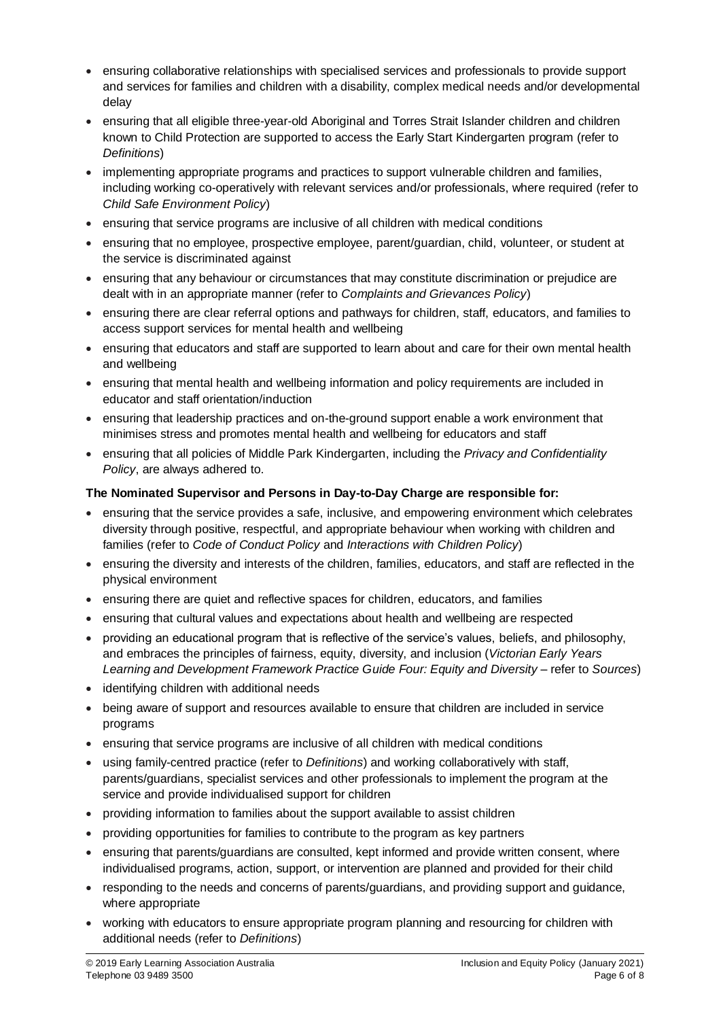- ensuring collaborative relationships with specialised services and professionals to provide support and services for families and children with a disability, complex medical needs and/or developmental delay
- ensuring that all eligible three-year-old Aboriginal and Torres Strait Islander children and children known to Child Protection are supported to access the Early Start Kindergarten program (refer to *Definitions*)
- implementing appropriate programs and practices to support vulnerable children and families, including working co-operatively with relevant services and/or professionals, where required (refer to *Child Safe Environment Policy*)
- ensuring that service programs are inclusive of all children with medical conditions
- ensuring that no employee, prospective employee, parent/guardian, child, volunteer, or student at the service is discriminated against
- ensuring that any behaviour or circumstances that may constitute discrimination or prejudice are dealt with in an appropriate manner (refer to *Complaints and Grievances Policy*)
- ensuring there are clear referral options and pathways for children, staff, educators, and families to access support services for mental health and wellbeing
- ensuring that educators and staff are supported to learn about and care for their own mental health and wellbeing
- ensuring that mental health and wellbeing information and policy requirements are included in educator and staff orientation/induction
- ensuring that leadership practices and on-the-ground support enable a work environment that minimises stress and promotes mental health and wellbeing for educators and staff
- ensuring that all policies of Middle Park Kindergarten, including the *Privacy and Confidentiality Policy*, are always adhered to.

#### **The Nominated Supervisor and Persons in Day-to-Day Charge are responsible for:**

- ensuring that the service provides a safe, inclusive, and empowering environment which celebrates diversity through positive, respectful, and appropriate behaviour when working with children and families (refer to *Code of Conduct Policy* and *Interactions with Children Policy*)
- ensuring the diversity and interests of the children, families, educators, and staff are reflected in the physical environment
- ensuring there are quiet and reflective spaces for children, educators, and families
- ensuring that cultural values and expectations about health and wellbeing are respected
- providing an educational program that is reflective of the service's values, beliefs, and philosophy, and embraces the principles of fairness, equity, diversity, and inclusion (*Victorian Early Years Learning and Development Framework Practice Guide Four: Equity and Diversity* – refer to *Sources*)
- identifying children with additional needs
- being aware of support and resources available to ensure that children are included in service programs
- ensuring that service programs are inclusive of all children with medical conditions
- using family-centred practice (refer to *Definitions*) and working collaboratively with staff, parents/guardians, specialist services and other professionals to implement the program at the service and provide individualised support for children
- providing information to families about the support available to assist children
- providing opportunities for families to contribute to the program as key partners
- ensuring that parents/guardians are consulted, kept informed and provide written consent, where individualised programs, action, support, or intervention are planned and provided for their child
- responding to the needs and concerns of parents/guardians, and providing support and guidance, where appropriate
- working with educators to ensure appropriate program planning and resourcing for children with additional needs (refer to *Definitions*)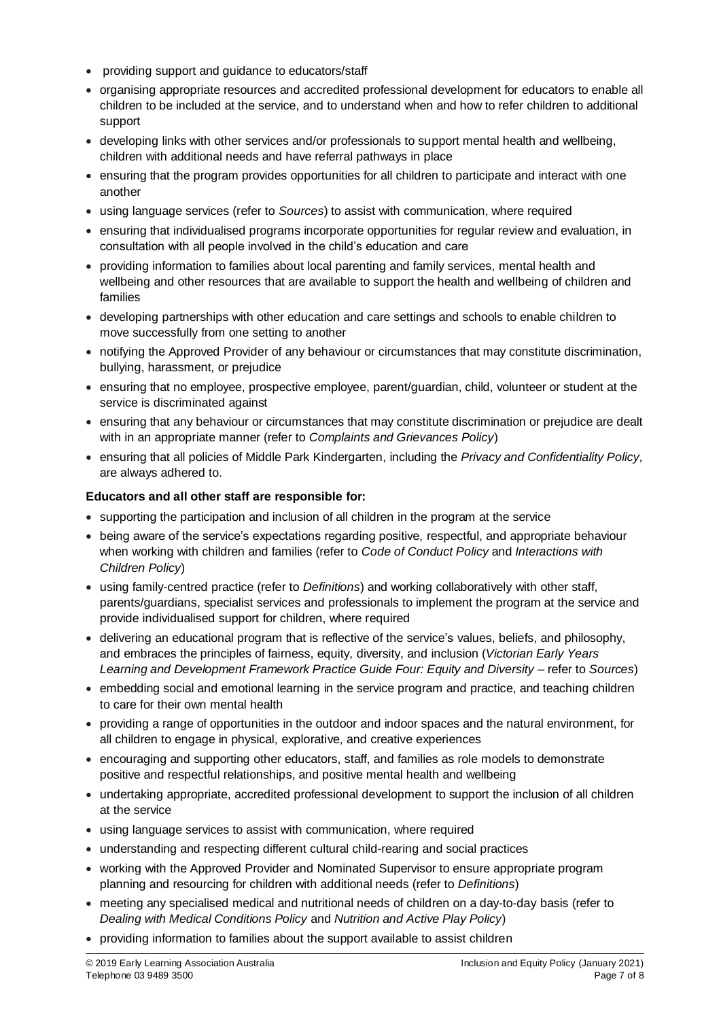- providing support and guidance to educators/staff
- organising appropriate resources and accredited professional development for educators to enable all children to be included at the service, and to understand when and how to refer children to additional support
- developing links with other services and/or professionals to support mental health and wellbeing, children with additional needs and have referral pathways in place
- ensuring that the program provides opportunities for all children to participate and interact with one another
- using language services (refer to *Sources*) to assist with communication, where required
- ensuring that individualised programs incorporate opportunities for regular review and evaluation, in consultation with all people involved in the child's education and care
- providing information to families about local parenting and family services, mental health and wellbeing and other resources that are available to support the health and wellbeing of children and families
- developing partnerships with other education and care settings and schools to enable children to move successfully from one setting to another
- notifying the Approved Provider of any behaviour or circumstances that may constitute discrimination, bullying, harassment, or prejudice
- ensuring that no employee, prospective employee, parent/guardian, child, volunteer or student at the service is discriminated against
- ensuring that any behaviour or circumstances that may constitute discrimination or prejudice are dealt with in an appropriate manner (refer to *Complaints and Grievances Policy*)
- ensuring that all policies of Middle Park Kindergarten, including the *Privacy and Confidentiality Policy*, are always adhered to.

#### **Educators and all other staff are responsible for:**

- supporting the participation and inclusion of all children in the program at the service
- being aware of the service's expectations regarding positive, respectful, and appropriate behaviour when working with children and families (refer to *Code of Conduct Policy* and *Interactions with Children Policy*)
- using family-centred practice (refer to *Definitions*) and working collaboratively with other staff, parents/guardians, specialist services and professionals to implement the program at the service and provide individualised support for children, where required
- delivering an educational program that is reflective of the service's values, beliefs, and philosophy, and embraces the principles of fairness, equity, diversity, and inclusion (*Victorian Early Years Learning and Development Framework Practice Guide Four: Equity and Diversity* – refer to *Sources*)
- embedding social and emotional learning in the service program and practice, and teaching children to care for their own mental health
- providing a range of opportunities in the outdoor and indoor spaces and the natural environment, for all children to engage in physical, explorative, and creative experiences
- encouraging and supporting other educators, staff, and families as role models to demonstrate positive and respectful relationships, and positive mental health and wellbeing
- undertaking appropriate, accredited professional development to support the inclusion of all children at the service
- using language services to assist with communication, where required
- understanding and respecting different cultural child-rearing and social practices
- working with the Approved Provider and Nominated Supervisor to ensure appropriate program planning and resourcing for children with additional needs (refer to *Definitions*)
- meeting any specialised medical and nutritional needs of children on a day-to-day basis (refer to *Dealing with Medical Conditions Policy* and *Nutrition and Active Play Policy*)
- providing information to families about the support available to assist children